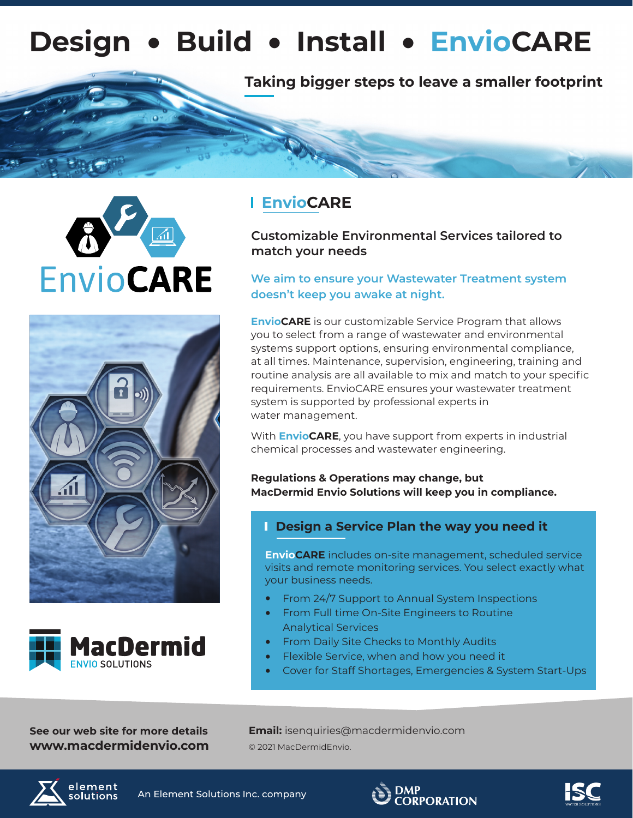# **Design • Build • Install • EnvioCARE**







## **EnvioCARE**

**Customizable Environmental Services tailored to match your needs**

**Taking bigger steps to leave a smaller footprint**

#### **We aim to ensure your Wastewater Treatment system doesn't keep you awake at night.**

**EnvioCARE** is our customizable Service Program that allows you to select from a range of wastewater and environmental systems support options, ensuring environmental compliance, at all times. Maintenance, supervision, engineering, training and routine analysis are all available to mix and match to your specific requirements. EnvioCARE ensures your wastewater treatment system is supported by professional experts in water management.

With **EnvioCARE**, you have support from experts in industrial chemical processes and wastewater engineering.

#### **Regulations & Operations may change, but MacDermid Envio Solutions will keep you in compliance.**

### **Part Design a Service Plan the way you need it**

**EnvioCARE** includes on-site management, scheduled service visits and remote monitoring services. You select exactly what your business needs.

- **•** From 24/7 Support to Annual System Inspections
- **•** From Full time On-Site Engineers to Routine Analytical Services
- **•** From Daily Site Checks to Monthly Audits
- **•** Flexible Service, when and how you need it
- **•** Cover for Staff Shortages, Emergencies & System Start-Ups

**See our web site for more details www.macdermidenvio.com** **Email:** isenquiries@macdermidenvio.com © 2021 MacDermidEnvio.